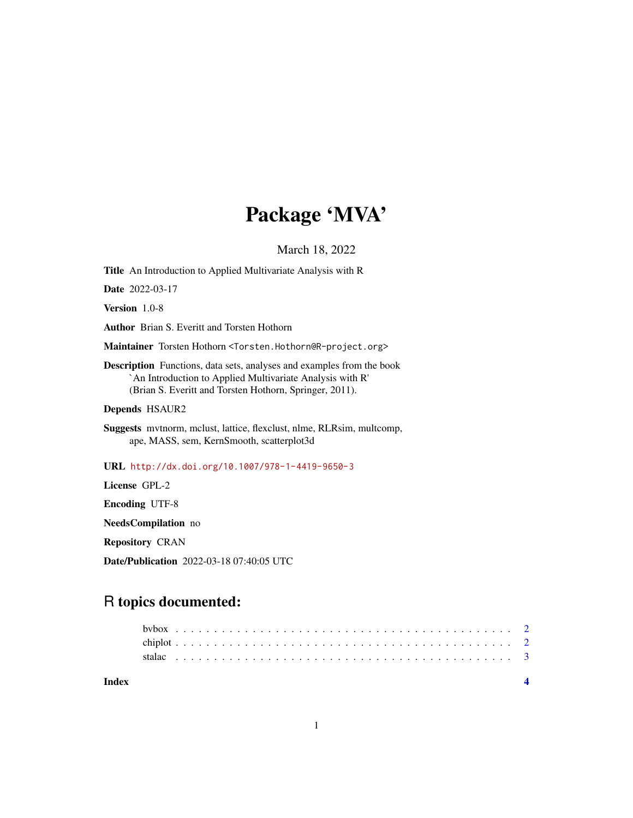## Package 'MVA'

March 18, 2022

Title An Introduction to Applied Multivariate Analysis with R Date 2022-03-17 Version 1.0-8 Author Brian S. Everitt and Torsten Hothorn Maintainer Torsten Hothorn <Torsten.Hothorn@R-project.org> Description Functions, data sets, analyses and examples from the book `An Introduction to Applied Multivariate Analysis with R' (Brian S. Everitt and Torsten Hothorn, Springer, 2011). Depends HSAUR2 Suggests mvtnorm, mclust, lattice, flexclust, nlme, RLRsim, multcomp, ape, MASS, sem, KernSmooth, scatterplot3d URL <http://dx.doi.org/10.1007/978-1-4419-9650-3> License GPL-2 Encoding UTF-8 NeedsCompilation no Repository CRAN Date/Publication 2022-03-18 07:40:05 UTC

### R topics documented:

| Index |  |  |  |  |  |  |  |  |  |  |  |  |  |  |  |  |  |  |  |  |  |  |  |
|-------|--|--|--|--|--|--|--|--|--|--|--|--|--|--|--|--|--|--|--|--|--|--|--|
|       |  |  |  |  |  |  |  |  |  |  |  |  |  |  |  |  |  |  |  |  |  |  |  |
|       |  |  |  |  |  |  |  |  |  |  |  |  |  |  |  |  |  |  |  |  |  |  |  |
|       |  |  |  |  |  |  |  |  |  |  |  |  |  |  |  |  |  |  |  |  |  |  |  |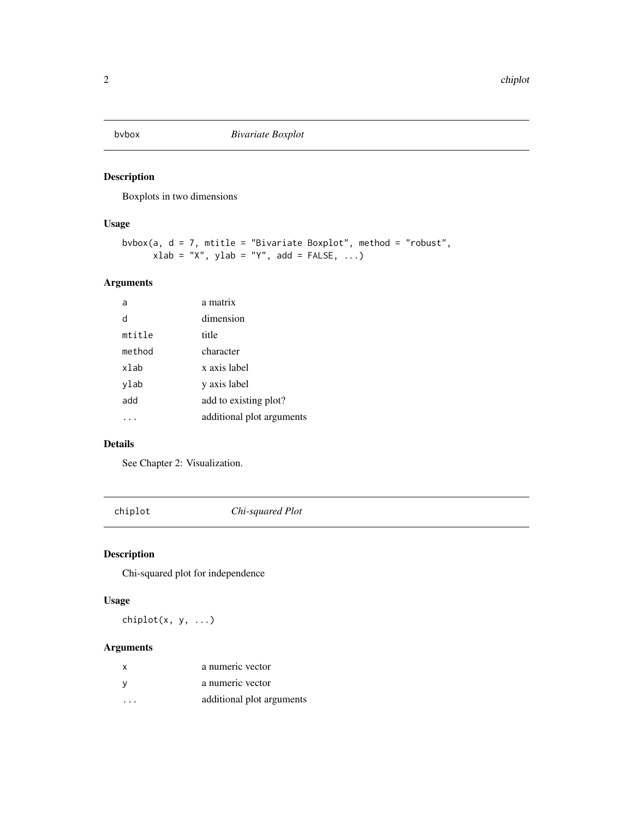<span id="page-1-0"></span>

#### Description

Boxplots in two dimensions

#### Usage

```
bvbox(a, d = 7, mtitle = "Bivariate Boxplot", method = "robust",
xlab = "X", ylab = "Y", add = FALSE, ...)
```
#### Arguments

| a      | a matrix                  |
|--------|---------------------------|
| d      | dimension                 |
| mtitle | title                     |
| method | character                 |
| xlab   | x axis label              |
| ylab   | y axis label              |
| add    | add to existing plot?     |
|        | additional plot arguments |

#### Details

See Chapter 2: Visualization.

chiplot *Chi-squared Plot*

#### Description

Chi-squared plot for independence

#### Usage

chiplot(x, y, ...)

#### Arguments

| x       | a numeric vector          |
|---------|---------------------------|
|         | a numeric vector          |
| $\cdot$ | additional plot arguments |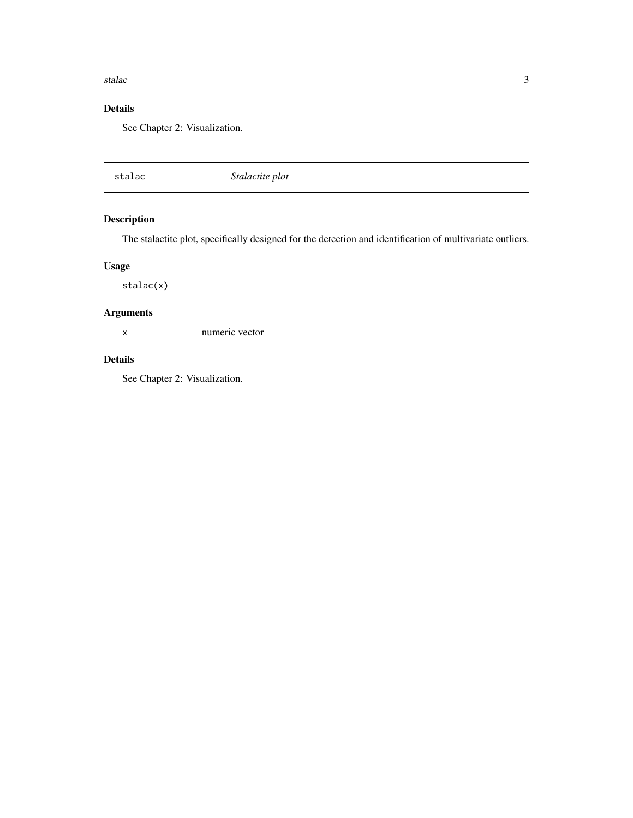#### <span id="page-2-0"></span>stalac 3

#### Details

See Chapter 2: Visualization.

stalac *Stalactite plot*

#### Description

The stalactite plot, specifically designed for the detection and identification of multivariate outliers.

#### Usage

stalac(x)

#### Arguments

x numeric vector

#### Details

See Chapter 2: Visualization.